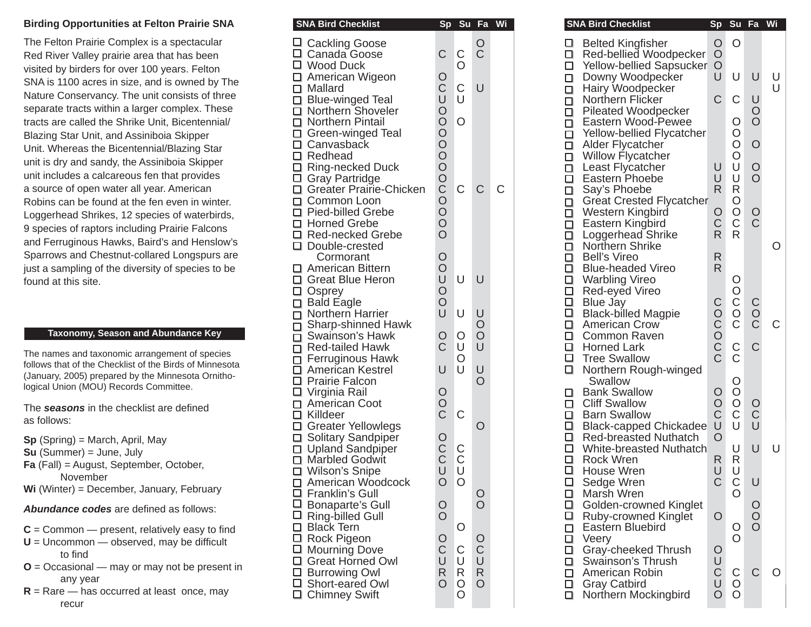## **Birding Opportunities at Felton Prairie SNA**

The Felton Prairie Complex is a spectacular Red River Valley prairie area that has been visited by birders for over 100 years. Felton SNA is 1100 acres in size, and is owned by The Nature Conservancy. The unit consists of three separate tracts within a larger complex. These tracts are called the Shrike Unit, Bicentennial/ Blazing Star Unit, and Assiniboia Skipper Unit. Whereas the Bicentennial/Blazing Star unit is dry and sandy, the Assiniboia Skipper unit includes a calcareous fen that provides a source of open water all year. American Robins can be found at the fen even in winter. Loggerhead Shrikes, 12 species of waterbirds, 9 species of raptors including Prairie Falcons and Ferruginous Hawks, Baird's and Henslow's Sparrows and Chestnut-collared Longspurs are just a sampling of the diversity of species to be found at this site.

## **Taxonomy, Season and Abundance Key**

The names and taxonomic arrangement of species follows that of the Checklist of the Birds of Minnesota (January, 2005) prepared by the Minnesota Ornithological Union (MOU) Records Committee.

The **seasons** in the checklist are defined as follows:

- **Sp** (Spring) = March, April, May
- **Su** (Summer) = June, July
- **Fa** (Fall) = August, September, October, November
- **Wi** (Winter) = December, January, February

**Abundance codes** are defined as follows:

- $C =$  Common  $-$  present, relatively easy to find
- $U =$  Uncommon  $-$  observed, may be difficult to find
- **O** = Occasional may or may not be present in any year
- $R =$ Rare has occurred at least once, may recur

| <b>SNA Bird Checklist</b>                                                                                                                                                                                                                                                              | <b>Sp</b>         | Su             | Fa                    | Wi |
|----------------------------------------------------------------------------------------------------------------------------------------------------------------------------------------------------------------------------------------------------------------------------------------|-------------------|----------------|-----------------------|----|
| □ Cackling Goose                                                                                                                                                                                                                                                                       |                   |                | $\rm_{C}^{\rm O}$     |    |
| □ Canada Goose<br>□ Canada Goose<br>□ Wood Duck<br>□ American Wigeon<br>□ Mallard<br>□ Blue-winged Teal<br>□ Northern Shoveler<br>□ Northern Pintail<br>□ Green-winged Teal<br>□ Canvasback<br>□ Redhead<br>□ Gray Partridge<br>□ Greater Prairie-Chicken<br>□ Common Loon<br>□ Pied-b | C                 | $\rm_{O}^C$    |                       |    |
|                                                                                                                                                                                                                                                                                        |                   |                |                       |    |
|                                                                                                                                                                                                                                                                                        |                   | C<br>U         | U                     |    |
|                                                                                                                                                                                                                                                                                        |                   |                |                       |    |
|                                                                                                                                                                                                                                                                                        |                   | $\overline{O}$ |                       |    |
|                                                                                                                                                                                                                                                                                        |                   |                |                       |    |
|                                                                                                                                                                                                                                                                                        |                   |                |                       |    |
|                                                                                                                                                                                                                                                                                        |                   |                |                       |    |
|                                                                                                                                                                                                                                                                                        |                   | C              | С                     |    |
|                                                                                                                                                                                                                                                                                        |                   |                |                       |    |
|                                                                                                                                                                                                                                                                                        |                   |                |                       |    |
|                                                                                                                                                                                                                                                                                        |                   |                |                       |    |
|                                                                                                                                                                                                                                                                                        |                   |                |                       |    |
| Cormorant                                                                                                                                                                                                                                                                              | OOUOOU            |                |                       |    |
| American Bittern                                                                                                                                                                                                                                                                       |                   | U              | U                     |    |
|                                                                                                                                                                                                                                                                                        |                   |                |                       |    |
|                                                                                                                                                                                                                                                                                        |                   |                |                       |    |
|                                                                                                                                                                                                                                                                                        |                   | U              | UOOU                  |    |
|                                                                                                                                                                                                                                                                                        | $\rm_{C}^{\rm O}$ |                |                       |    |
|                                                                                                                                                                                                                                                                                        |                   | OUOU           |                       |    |
|                                                                                                                                                                                                                                                                                        | U                 |                |                       |    |
|                                                                                                                                                                                                                                                                                        |                   |                | U<br>O                |    |
|                                                                                                                                                                                                                                                                                        |                   |                |                       |    |
|                                                                                                                                                                                                                                                                                        | O<br>O<br>C       | C              |                       |    |
|                                                                                                                                                                                                                                                                                        |                   |                | O                     |    |
| □ American Bittern<br>□ Great Blue Heron<br>□ Osprey<br>□ Bald Eagle<br>□ Northern Harrier<br>□ Sharp-shinned Hawk<br>□ Red-tailed Hawk<br>□ Ferruginous Hawk<br>□ Ferruginous Hawk<br>□ Prairie Falcon<br>□ Virginia Rail<br>□ American Coot<br>□ Killdeer<br>□ Gre                   | O<br>C<br>C<br>U  |                |                       |    |
|                                                                                                                                                                                                                                                                                        |                   | C<br>U         |                       |    |
|                                                                                                                                                                                                                                                                                        |                   |                |                       |    |
| □ American Woodcock<br>□ Franklin's Gull                                                                                                                                                                                                                                               | $\circ$           | O              |                       |    |
| □ Bonaparte's Gull                                                                                                                                                                                                                                                                     | $\frac{0}{0}$     |                | O<br>O                |    |
|                                                                                                                                                                                                                                                                                        |                   |                |                       |    |
|                                                                                                                                                                                                                                                                                        |                   | Ο              |                       |    |
|                                                                                                                                                                                                                                                                                        |                   |                |                       |    |
| □ Ring-billed Gull<br>□ Black Tern<br>□ Rock Pigeon<br>□ Mourning Dove<br>□ Great Horned Owl<br>□ Burrowing Owl<br>□ Chert cared Owl                                                                                                                                                   | OCUR              | C<br>U<br>R    |                       |    |
| □ Short-eared Owl                                                                                                                                                                                                                                                                      | $\overline{O}$    |                | O<br>C<br>U<br>R<br>O |    |
| □ Chimney Swift                                                                                                                                                                                                                                                                        |                   | $\rm _O^O$     |                       |    |
|                                                                                                                                                                                                                                                                                        |                   |                |                       |    |

| <b>SNA Bird Checklist</b>                          |                     | Sp Su Fa Wi                   |                           |             | <b>SNA Bird Checklist</b>                                                        |                               | Sp Su Fa Wi               |                  |             |
|----------------------------------------------------|---------------------|-------------------------------|---------------------------|-------------|----------------------------------------------------------------------------------|-------------------------------|---------------------------|------------------|-------------|
| □ Cackling Goose<br>□ Canada Goose<br>I Wood Duck  | C                   | C<br>$\overline{O}$           | $\circ$<br>$\overline{C}$ |             | $\Box$ Belted Kingfisher<br>Red-bellied Woodpecker<br>□ Yellow-bellied Sapsucker | $\circ$<br>$\circ$<br>$\circ$ | $\circ$                   | U                |             |
| <b>] American Wigeon</b><br>] Mallard              | O<br>C              | $\mathsf C$                   | $\cup$                    |             | Downy Woodpecker<br>$\Box$<br>Hairy Woodpecker<br>$\Box$                         | U                             | U                         |                  | U<br>U      |
| ⊒ Blue-winged Teal<br>Northern Shoveler            | U                   | U                             |                           |             | Northern Flicker<br>$\Box$<br>Pileated Woodpecker                                | $\mathsf C$                   | $\mathsf C$               | $\cup$           |             |
| Northern Pintail                                   | $\frac{0}{0}$       | $\circ$                       |                           |             | Eastern Wood-Pewee                                                               |                               | $\circ$<br>$\circ$        | $\frac{0}{0}$    |             |
| <b>Green-winged Teal</b><br><b>□ Canvasback</b>    | $\rm\check{\rm o}$  |                               |                           |             | Yellow-bellied Flycatcher<br>$\Box$<br>Alder Flycatcher                          |                               | $\circ$                   | $\overline{O}$   |             |
| Redhead<br>Ring-necked Duck                        | $\overline{O}$      |                               |                           |             | Willow Flycatcher<br>$\Box$<br>Least Flycatcher                                  | U                             | $\circ$<br>U              | $\bigcirc$       |             |
| _<br>_ Gray Partridge<br>_ Greater Prairie-Chicken |                     | $\mathsf C$                   | $\mathsf C$               | $\mathsf C$ | □ Eastern Phoebe                                                                 | U<br>$\mathsf{R}$             | $\cup$<br>${\sf R}$       | $\overline{O}$   |             |
| ⊓ Common Loon                                      | OCO<br>OO           |                               |                           |             | Say's Phoebe<br>$\Box$<br><b>Great Crested Flycatcher</b><br>□                   |                               | $\circ$                   |                  |             |
| Pied-billed Grebe<br><b>Horned Grebe</b>           | $\overline{O}$      |                               |                           |             | Western Kingbird<br>П<br>Eastern Kingbird<br>П                                   | $\circ$<br>$\mathsf C$        | $\overline{O}$            | $\rm_{C}^O$      |             |
| Red-necked Grebe                                   | $\overline{O}$      |                               |                           |             | □ Loggerhead Shrike                                                              | $\mathsf{R}$                  | R.                        |                  |             |
| Double-crested<br>Cormorant                        | O                   |                               |                           |             | Northern Shrike<br>□ Bell's Vireo                                                | $\mathsf{R}$                  |                           |                  | $\circ$     |
| <b>] American Bittern</b><br>Great Blue Heron      | $\bigcirc$<br>U     | $\cup$                        | U                         |             | $\Box$<br><b>Blue-headed Vireo</b><br>□ Warbling Vireo                           | $\mathsf{R}$                  | O                         |                  |             |
| ⊒ Osprey                                           | $\circ$             |                               |                           |             | $\Box$<br>Red-eyed Vireo                                                         |                               |                           |                  |             |
| ן Bald Eagle<br>Northern Harrier                   | $\overline{O}$<br>U | $\cup$                        | U                         |             | $\Box$ Blue Jay<br>$\Box$<br><b>Black-billed Magpie</b>                          | $\mathsf C$                   | OCO                       | $\rm_{CO}^C$     |             |
| Sharp-shinned Hawk [                               |                     |                               | $\circ$<br>$\circ$        |             | American Crow                                                                    |                               |                           |                  | $\mathsf C$ |
| ∃ Swainson's Hawk<br>Red-tailed Hawk               | $\circ$<br>C        | O<br>U                        | U                         |             | $\Box$<br>Common Raven<br>$\Box$<br><b>Horned Lark</b>                           | OCOC                          | $\rm\frac{C}{C}$          | $\mathsf C$      |             |
| _ Ferruginous Hawk<br>⊒ American Kestrel           | U                   | $\circ$<br>U                  | U                         |             | □ Tree Swallow<br>□ Northern Rough-winged                                        |                               |                           |                  |             |
| Prairie Falcon                                     |                     |                               | $\circ$                   |             | Swallow                                                                          |                               | $\circ$                   |                  |             |
| ⊒ Virginia Rail<br>American Coot                   | O<br>O<br>C         |                               |                           |             | <b>Bank Swallow</b><br>$\Box$<br><b>Cliff Swallow</b><br>$\Box$                  | $\circ$<br>$\circ$            | $\rm_{CO}^{\rm O}$        |                  |             |
| <b>] Killdeer</b><br><b>□ Greater Yellowlegs</b>   |                     | $\mathsf C$                   | $\circ$                   |             | <b>Barn Swallow</b><br>$\Box$<br>□ Black-capped Chickadee                        | $\overline{C}$<br>$\cup$      | $\cup$                    | $\rm_{C}^O$<br>Ū |             |
| Solitary Sandpiper                                 | $\circ$             |                               |                           |             | □ Red-breasted Nuthatch                                                          | $\circ$                       |                           |                  |             |
| コ Upland Sandpiper<br>コ Marbled Godwit             | $\frac{C}{C}$       | $\mathsf C$<br>$\overline{C}$ |                           |             | □<br>White-breasted Nuthatch<br>□<br>Rock Wren                                   | R                             | U<br>R                    | U                | U           |
| Wilson's Snipe                                     | U                   | $\cup$                        |                           |             | □<br>House Wren                                                                  | U                             | U                         |                  |             |
| American Woodcock<br>⊒ Franklin's Gull             | $\overline{O}$      | $\circ$                       | O                         |             | $\Box$<br>Sedge Wren<br>Marsh Wren<br>□                                          | $\mathsf C$                   | $\mathsf C$<br>$\bigcirc$ | $\cup$           |             |
| Bonaparte's Gull<br>Ring-billed Gull               | O<br>$\overline{O}$ |                               | $\circ$                   |             | □ Golden-crowned Kinglet<br>$\Box$ Ruby-crowned Kinglet                          | $\circ$                       |                           | $\circ$          |             |
| ⊒ Black Tern                                       |                     | $\circ$                       |                           |             | Eastern Bluebird<br>□                                                            |                               | $\circ$                   | $\overline{O}$   |             |
| Rock Pigeon<br>∃ Mourning Dove                     | O<br>C              | $\mathsf C$                   | $\circ$<br>$\mathsf C$    |             | Veery<br>0.<br>Gray-cheeked Thrush<br>ப                                          | O                             | $\overline{O}$            |                  |             |
| <b>□ Great Horned Owl</b>                          | U<br>$\mathsf{R}$   | U<br>R                        | $\cup$<br>${\sf R}$       |             | Swainson's Thrush<br>□                                                           | U<br>$\mathsf C$              |                           | $\mathsf C$      | O           |
| <b>J</b> Burrowing Owl<br>Short-eared Owl          | $\circ$             | $\circ$                       | $\circ$                   |             | □ American Robin<br>□ Gray Catbird                                               | U                             | $\mathsf C$<br>$\bigcirc$ |                  |             |
| Chimney Swift                                      |                     | O                             |                           |             | Northern Mockingbird<br>◻                                                        | $\overline{O}$                | $\overline{O}$            |                  |             |